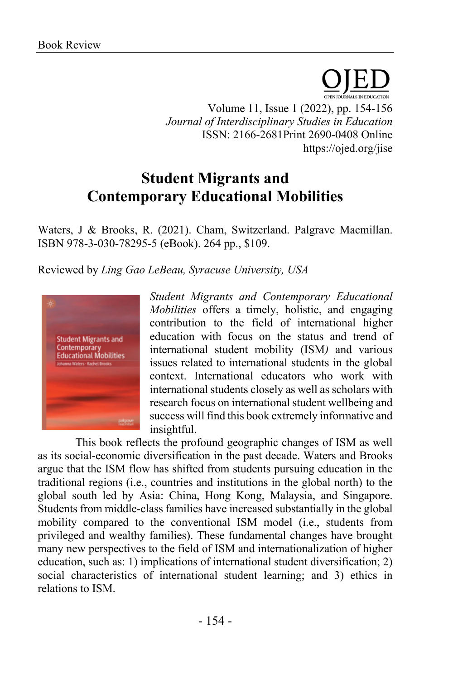PEN IOURNALS IN EDUCATION Volume 11, Issue 1 (2022), pp. 154-156 *Journal of Interdisciplinary Studies in Education* ISSN: 2166-2681Print 2690-0408 Online https://ojed.org/jise

## **Student Migrants and Contemporary Educational Mobilities**

Waters, J & Brooks, R. (2021). Cham, Switzerland. Palgrave Macmillan. ISBN 978-3-030-78295-5 (eBook). 264 pp., \$109.

Reviewed by *Ling Gao LeBeau, Syracuse University, USA*



*Student Migrants and Contemporary Educational Mobilities* offers a timely, holistic, and engaging contribution to the field of international higher education with focus on the status and trend of international student mobility (ISM*)* and various issues related to international students in the global context. International educators who work with international students closely as well as scholars with research focus on international student wellbeing and success will find this book extremely informative and insightful.

This book reflects the profound geographic changes of ISM as well as its social-economic diversification in the past decade. Waters and Brooks argue that the ISM flow has shifted from students pursuing education in the traditional regions (i.e., countries and institutions in the global north) to the global south led by Asia: China, Hong Kong, Malaysia, and Singapore. Students from middle-class families have increased substantially in the global mobility compared to the conventional ISM model (i.e., students from privileged and wealthy families). These fundamental changes have brought many new perspectives to the field of ISM and internationalization of higher education, such as: 1) implications of international student diversification; 2) social characteristics of international student learning; and 3) ethics in relations to ISM.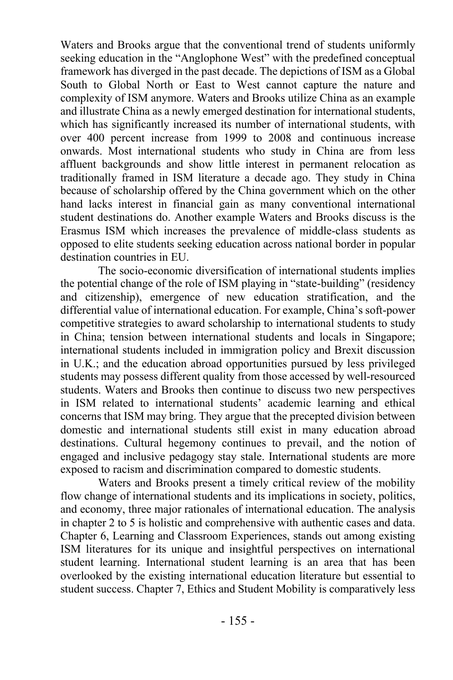Waters and Brooks argue that the conventional trend of students uniformly seeking education in the "Anglophone West" with the predefined conceptual framework has diverged in the past decade. The depictions of ISM as a Global South to Global North or East to West cannot capture the nature and complexity of ISM anymore. Waters and Brooks utilize China as an example and illustrate China as a newly emerged destination for international students, which has significantly increased its number of international students, with over 400 percent increase from 1999 to 2008 and continuous increase onwards. Most international students who study in China are from less affluent backgrounds and show little interest in permanent relocation as traditionally framed in ISM literature a decade ago. They study in China because of scholarship offered by the China government which on the other hand lacks interest in financial gain as many conventional international student destinations do. Another example Waters and Brooks discuss is the Erasmus ISM which increases the prevalence of middle-class students as opposed to elite students seeking education across national border in popular destination countries in EU.

The socio-economic diversification of international students implies the potential change of the role of ISM playing in "state-building" (residency and citizenship), emergence of new education stratification, and the differential value of international education. For example, China's soft-power competitive strategies to award scholarship to international students to study in China; tension between international students and locals in Singapore; international students included in immigration policy and Brexit discussion in U.K.; and the education abroad opportunities pursued by less privileged students may possess different quality from those accessed by well-resourced students. Waters and Brooks then continue to discuss two new perspectives in ISM related to international students' academic learning and ethical concerns that ISM may bring. They argue that the precepted division between domestic and international students still exist in many education abroad destinations. Cultural hegemony continues to prevail, and the notion of engaged and inclusive pedagogy stay stale. International students are more exposed to racism and discrimination compared to domestic students.

Waters and Brooks present a timely critical review of the mobility flow change of international students and its implications in society, politics, and economy, three major rationales of international education. The analysis in chapter 2 to 5 is holistic and comprehensive with authentic cases and data. Chapter 6, Learning and Classroom Experiences, stands out among existing ISM literatures for its unique and insightful perspectives on international student learning. International student learning is an area that has been overlooked by the existing international education literature but essential to student success. Chapter 7, Ethics and Student Mobility is comparatively less